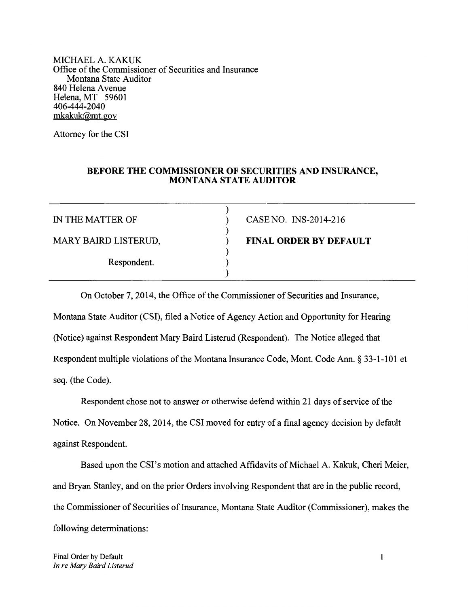MICHAEL A. KAKUK Office of the Commissioner of Securities and Insurance Montana State Auditor 840 Helena Avenue Helena, MT 59601 406-444-2040 mkakuk@mt.gov

Attorney for the CSI

## **BEFORE THE COMMISSIONER OF SECURITIES AND INSURANCE, MONTANA STATE AUDITOR**

) ) ) ) ) ) )

MARY BAIRD LISTERUD,

Respondent.

IN THE MATTER OF CASE NO. INS-2014-216

**FINAL ORDER BY DEFAULT**

seq. (the Code). Respondent multiple violations of the Montana Insurance Code, Mont. Code Ann. § 33-1-101 et (Notice) against Respondent Mary Baird Listerud (Respondent). The Notice alleged that Montana State Auditor (CSI), filed a Notice of Agency Action and Opportunity for Hearing On October 7, 2014, the Office of the Commissioner of Securities and Insurance,

against Respondent. Notice. On November 28,2014, the CSI moved for entry of a final agency decision by default Respondent chose not to answer or otherwise defend within 21 days of service of the

following determinations: the Commissioner of Securities of Insurance, Montana State Auditor (Commissioner), makes the and Bryan Stanley, and on the prior Orders involving Respondent that are in the public record, Based upon the CSI's motion and attached Affidavits of Michael A. Kakuk, Cheri Meier,

Final Order by Default *In re Mary Baird Listerud*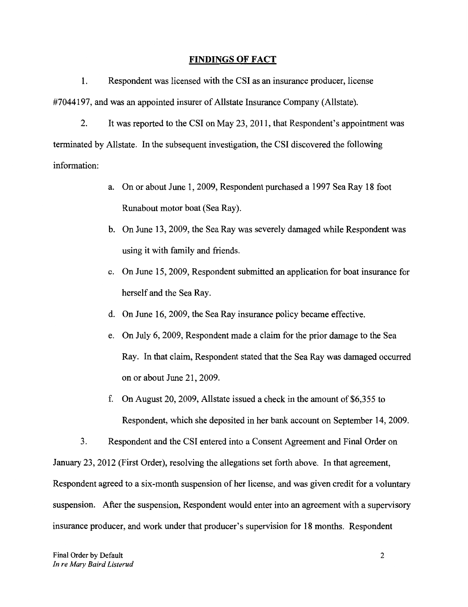### **FINDINGS OF** FACT

#7044197, and was an appointed insurer of Allstate Insurance Company (Allstate). 1. Respondent was licensed with the CSI as an insurance producer, license

information: terminated by Allstate. In the subsequent investigation, the CSI discovered the following 2. Itwas reported to the CSI on May 23,2011, that Respondent's appointment was

- Runabout motor boat (Sea Ray). a. On or about June 1,2009, Respondent purchased a 1997 Sea Ray 18 foot
- using it with family and friends. b. On June 13,2009, the Sea Ray was severely damaged while Respondent was
- herself and the Sea Ray. c. On June 15,2009, Respondent submitted an application for boat insurance for
- d. On June 16,2009, the Sea Ray insurance policy became effective.
- on or about June 21, 2009. Ray. In that claim, Respondent stated that the Sea Ray was damaged occurred e. On July 6,2009, Respondent made a claim for the prior damage to the Sea
- Respondent, which she deposited in her bank account on September 14,2009. f. On August 20, 2009, Allstate issued a check in the amount of  $$6,355$  to

insurance producer, and work under that producer's supervision for 18 months. Respondent suspension. After the suspension, Respondent would enter into an agreement with a supervisory Respondent agreed to a six-month suspension of her license, and was given credit for a voluntary January 23,2012 (First Order), resolving the allegations set forth above. In that agreement, 3. Respondent and the CSI entered into a Consent Agreement and Final Order on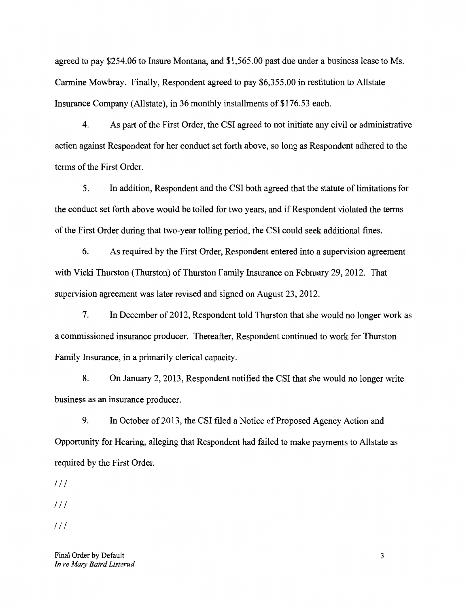Insurance Company (Allstate), in 36 monthly installments of \$176.53 each. Carmine Mowbray. Finally, Respondent agreed to pay \$6,355.00 in restitution to Allstate agreed to pay \$254.06 to Insure Montana, and \$1,565.00 past due under a business lease to Ms.

terms of the First Order. action against Respondent for her conduct set forth above, so long as Respondent adhered to the 4. As part of the First Order, the CSI agreed to not initiate any civil or administrative

of the First Order during that two-year tolling period, the CSI could seek additional fines. the conduct set forth above would be tolled for two years, and if Respondent violated the terms 5. In addition, Respondent and the CSI both agreed that the statute of limitations for

supervision agreement was later revised and signed on August 23, 2012. with Vicki Thurston (Thurston) of Thurston Family Insurance on February 29, 2012. That 6. As required by the First Order, Respondent entered into a supervision agreement

Family Insurance, in a primarily clerical capacity. a commissioned insurance producer. Thereafter, Respondent continued to work for Thurston 7. In December of 2012, Respondent told Thurston that she would no longer work as

business as an insurance producer. 8. On January 2,2013, Respondent notified the CSI that she would no longer write

required by the First Order. Opportunity for Hearing, alleging that Respondent had failed to make payments to Allstate as 9. In October of 2013, the CSI filed a Notice of Proposed Agency Action and

*III*

*III*

*1/1*

Final Order by Default 3 *In re Mary Baird Listerud*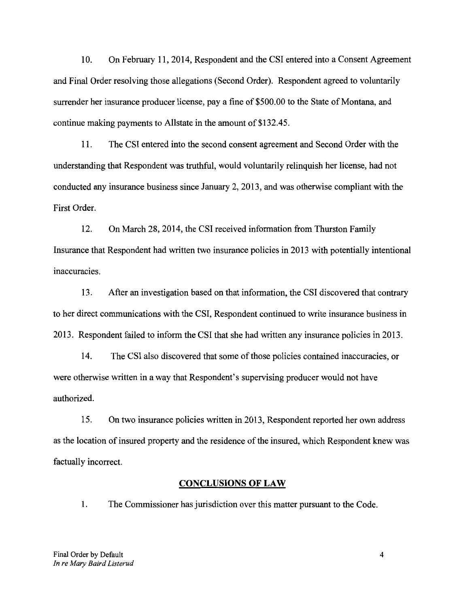continue making payments to Allstate in the amount of \$132.45. surrender her insurance producer license, pay a fine of \$500.00 to the State of Montana, and and Final Order resolving those allegations (Second Order). Respondent agreed to voluntarily 10. On February **11,2014,** Respondent and the CSI entered into a Consent Agreement

First Order. conducted any insurance business since January 2,2013, and was otherwise compliant with the understanding that Respondent was truthful, would voluntarily relinquish her license, had not 11. The CSI entered into the second consent agreement and Second Order with the

inaccuracies. Insurance that Respondent had written two insurance policies in 2013 with potentially intentional 12. On March 28,2014, the CSI received information from Thurston Family

2013. Respondent failed to inform the CSI that she had written any insurance policies in 2013. to her direct communications with the CSI, Respondent continued to write insurance business in 13. After an investigation based on that information, the CSI discovered that contrary

authorized. were otherwise written in a way that Respondent's supervising producer would not have 14. The CSI also discovered that some of those policies contained inaccuracies, or

factually incorrect. as the location of insured property and the residence of the insured, which Respondent knew was 15. On two insurance policies written in 2013, Respondent reported her own address

### **CONCLUSIONS OF LAW**

1. The Commissioner has jurisdiction over this matter pursuant to the Code.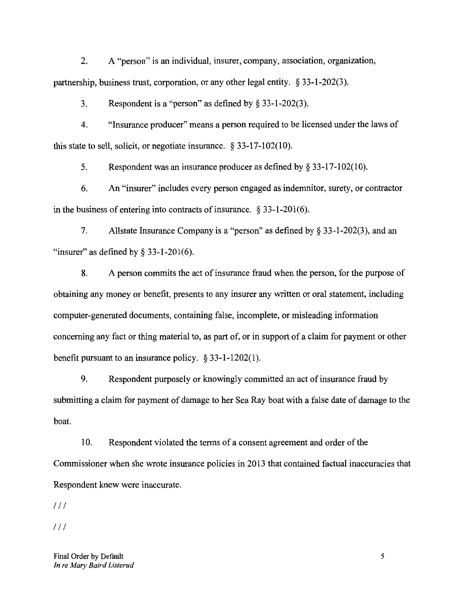partnership, business trust, corporation, or any other legal entity. § 33-1-202(3). 2. A "person" is an individual, insurer, company, association, organization,

3. Respondent is a "person" as defined by § 33-1-202(3).

this state to sell, solicit, or negotiate insurance. § 33-17-102(10). 4. "Insurance producer" means a person required to be licensed under the laws of

5. Respondent was an insurance producer as defined by § 33-17-102(10).

in the business of entering into contracts of insurance.  $\S 33-1-201(6)$ . 6. An "insurer" includes every person engaged as indemnitor, surety, or contractor

"insurer" as defined by  $\S$  33-1-201(6). 7. Allstate Insurance Company is a "person" as defined by § 33-1-202(3), and an

benefit pursuant to an insurance policy. § 33-1-1202(1). concerning any fact or thing material to, as part of, or in support of a claim for payment or other computer-generated documents, containing false, incomplete, or misleading information obtaining any money or benefit, presents to any insurer any written or oral statement, including 8. A person commits the act of insurance fraud when the person, for the purpose of

boat. submitting a claim for payment of damage to her Sea Ray boat with a false date of damage to the 9. Respondent purposely or knowingly committed an act of insurance fraud by

Respondent knew were inaccurate. Commissioner when she wrote insurance policies in 2013 that contained factual inaccuracies that 10. Respondent violated the terms of a consent agreement and order of the

*/II*

*1/1*

Final Order by Default 5 *In re Mary Baird Listerud*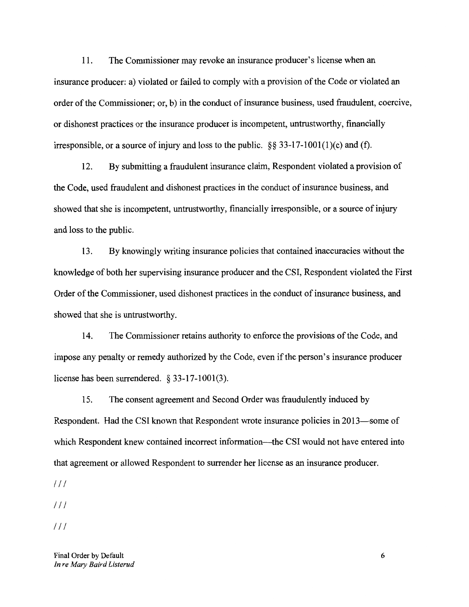irresponsible, or a source of injury and loss to the public.  $\S$ § 33-17-1001(1)(c) and (f). or dishonest practices or the insurance producer is incompetent, untrustworthy, financially order of the Commissioner; or, b) in the conduct of insurance business, used fraudulent, coercive, insurance producer: a) violated or failed to comply with a provision of the Code or violated an 11. The Commissioner may revoke an insurance producer's license when an

and loss to the public. showed that she is incompetent, untrustworthy, financially irresponsible, or a source of injury the Code, used fraudulent and dishonest practices in the conduct of insurance business, and 12. By submitting a fraudulent insurance claim, Respondent violated a provision of

showed that she is untrustworthy. Order of the Commissioner, used dishonest practices in the conduct of insurance business, and knowledge of both her supervising insurance producer and the CSI, Respondent violated the First 13. By knowingly writing insurance policies that contained inaccuracies without the

license has been surrendered. § 33-17-1001(3). impose any penalty or remedy authorized by the Code, even if the person's insurance producer 14. The Commissioner retains authority to enforce the provisions of the Code, and

that agreement or allowed Respondent to surrender her license as an insurance producer. which Respondent knew contained incorrect information-the CSI would not have entered into Respondent. Had the CSI known that Respondent wrote insurance policies in 2013—some of 15. The consent agreement and Second Order was fraudulently induced by

*1/1*

*1/1*

*/II*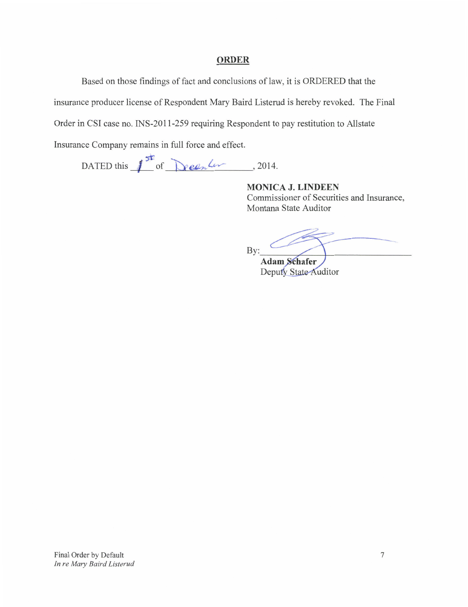## **ORDER**

Based on those findings of fact and conclusions of law, it is ORDERED that the

insurance producer license of Respondent Mary Baird Listerud is hereby revoked. The Final

Order in CSI case no. INS-2011-259 requiring Respondent to pay restitution to Allstate

Insurance Company remains in full force and effect.

DATED this  $\int_{0}^{5k}$  of <u>been</u> for person part of the person of the person of the person of the person of the person of the person of the person of the person of the person of the person of the person of the person of t

**MONICA J. LINDEEN** Commissioner of Securities and Insurance, Montana State Auditor

-\_ By: Adam Schafer

Deputy State Auditor

Final Order by Default 7 *In re Mary Baird Listerud*